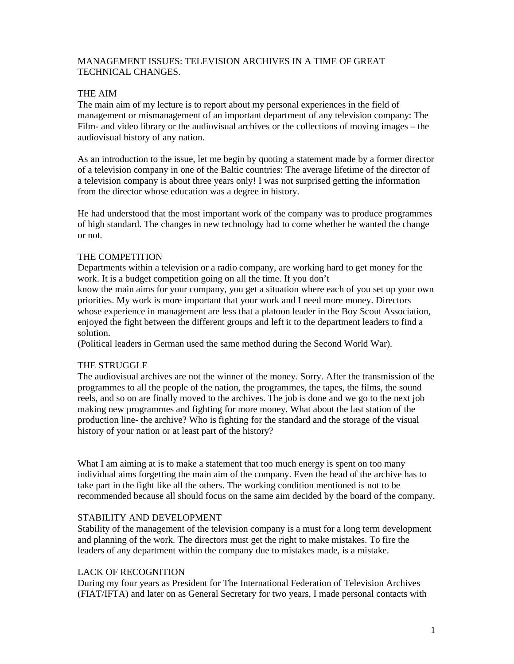## MANAGEMENT ISSUES: TELEVISION ARCHIVES IN A TIME OF GREAT TECHNICAL CHANGES.

## THE AIM

The main aim of my lecture is to report about my personal experiences in the field of management or mismanagement of an important department of any television company: The Film- and video library or the audiovisual archives or the collections of moving images – the audiovisual history of any nation.

As an introduction to the issue, let me begin by quoting a statement made by a former director of a television company in one of the Baltic countries: The average lifetime of the director of a television company is about three years only! I was not surprised getting the information from the director whose education was a degree in history.

He had understood that the most important work of the company was to produce programmes of high standard. The changes in new technology had to come whether he wanted the change or not.

## THE COMPETITION

Departments within a television or a radio company, are working hard to get money for the work. It is a budget competition going on all the time. If you don't know the main aims for your company, you get a situation where each of you set up your own priorities. My work is more important that your work and I need more money. Directors

whose experience in management are less that a platoon leader in the Boy Scout Association, enjoyed the fight between the different groups and left it to the department leaders to find a solution.

(Political leaders in German used the same method during the Second World War).

## THE STRUGGLE

The audiovisual archives are not the winner of the money. Sorry. After the transmission of the programmes to all the people of the nation, the programmes, the tapes, the films, the sound reels, and so on are finally moved to the archives. The job is done and we go to the next job making new programmes and fighting for more money. What about the last station of the production line- the archive? Who is fighting for the standard and the storage of the visual history of your nation or at least part of the history?

What I am aiming at is to make a statement that too much energy is spent on too many individual aims forgetting the main aim of the company. Even the head of the archive has to take part in the fight like all the others. The working condition mentioned is not to be recommended because all should focus on the same aim decided by the board of the company.

## STABILITY AND DEVELOPMENT

Stability of the management of the television company is a must for a long term development and planning of the work. The directors must get the right to make mistakes. To fire the leaders of any department within the company due to mistakes made, is a mistake.

## LACK OF RECOGNITION

During my four years as President for The International Federation of Television Archives (FIAT/IFTA) and later on as General Secretary for two years, I made personal contacts with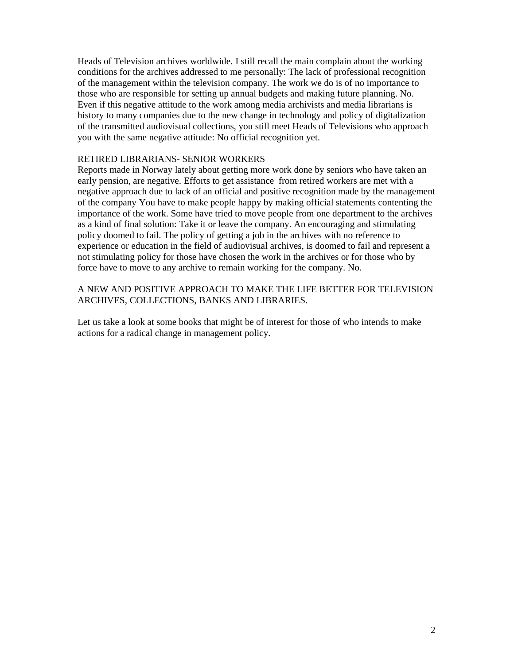Heads of Television archives worldwide. I still recall the main complain about the working conditions for the archives addressed to me personally: The lack of professional recognition of the management within the television company. The work we do is of no importance to those who are responsible for setting up annual budgets and making future planning. No. Even if this negative attitude to the work among media archivists and media librarians is history to many companies due to the new change in technology and policy of digitalization of the transmitted audiovisual collections, you still meet Heads of Televisions who approach you with the same negative attitude: No official recognition yet.

## RETIRED LIBRARIANS- SENIOR WORKERS

Reports made in Norway lately about getting more work done by seniors who have taken an early pension, are negative. Efforts to get assistance from retired workers are met with a negative approach due to lack of an official and positive recognition made by the management of the company You have to make people happy by making official statements contenting the importance of the work. Some have tried to move people from one department to the archives as a kind of final solution: Take it or leave the company. An encouraging and stimulating policy doomed to fail. The policy of getting a job in the archives with no reference to experience or education in the field of audiovisual archives, is doomed to fail and represent a not stimulating policy for those have chosen the work in the archives or for those who by force have to move to any archive to remain working for the company. No.

## A NEW AND POSITIVE APPROACH TO MAKE THE LIFE BETTER FOR TELEVISION ARCHIVES, COLLECTIONS, BANKS AND LIBRARIES.

Let us take a look at some books that might be of interest for those of who intends to make actions for a radical change in management policy.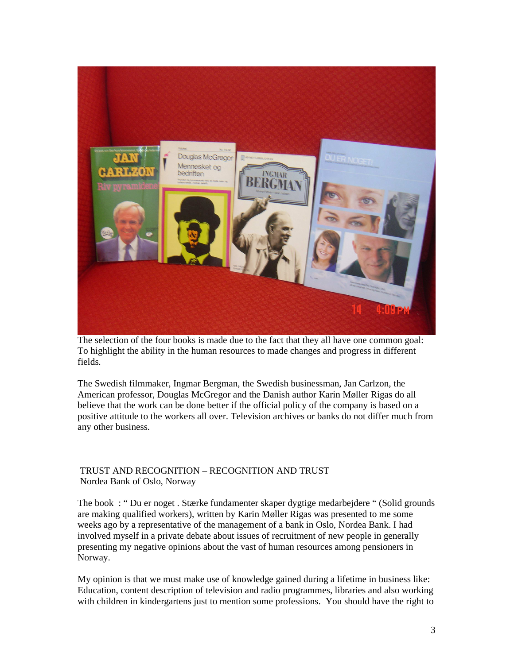

The selection of the four books is made due to the fact that they all have one common goal: To highlight the ability in the human resources to made changes and progress in different fields.

The Swedish filmmaker, Ingmar Bergman, the Swedish businessman, Jan Carlzon, the American professor, Douglas McGregor and the Danish author Karin Møller Rigas do all believe that the work can be done better if the official policy of the company is based on a positive attitude to the workers all over. Television archives or banks do not differ much from any other business.

# TRUST AND RECOGNITION – RECOGNITION AND TRUST Nordea Bank of Oslo, Norway

The book : " Du er noget . Stærke fundamenter skaper dygtige medarbejdere " (Solid grounds are making qualified workers), written by Karin Møller Rigas was presented to me some weeks ago by a representative of the management of a bank in Oslo, Nordea Bank. I had involved myself in a private debate about issues of recruitment of new people in generally presenting my negative opinions about the vast of human resources among pensioners in Norway.

My opinion is that we must make use of knowledge gained during a lifetime in business like: Education, content description of television and radio programmes, libraries and also working with children in kindergartens just to mention some professions. You should have the right to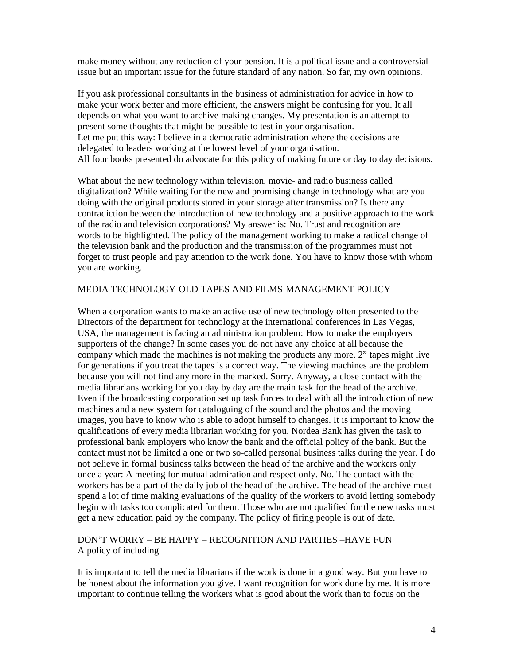make money without any reduction of your pension. It is a political issue and a controversial issue but an important issue for the future standard of any nation. So far, my own opinions.

If you ask professional consultants in the business of administration for advice in how to make your work better and more efficient, the answers might be confusing for you. It all depends on what you want to archive making changes. My presentation is an attempt to present some thoughts that might be possible to test in your organisation. Let me put this way: I believe in a democratic administration where the decisions are delegated to leaders working at the lowest level of your organisation. All four books presented do advocate for this policy of making future or day to day decisions.

What about the new technology within television, movie- and radio business called digitalization? While waiting for the new and promising change in technology what are you doing with the original products stored in your storage after transmission? Is there any contradiction between the introduction of new technology and a positive approach to the work of the radio and television corporations? My answer is: No. Trust and recognition are words to be highlighted. The policy of the management working to make a radical change of the television bank and the production and the transmission of the programmes must not forget to trust people and pay attention to the work done. You have to know those with whom you are working.

#### MEDIA TECHNOLOGY-OLD TAPES AND FILMS-MANAGEMENT POLICY

When a corporation wants to make an active use of new technology often presented to the Directors of the department for technology at the international conferences in Las Vegas, USA, the management is facing an administration problem: How to make the employers supporters of the change? In some cases you do not have any choice at all because the company which made the machines is not making the products any more. 2" tapes might live for generations if you treat the tapes is a correct way. The viewing machines are the problem because you will not find any more in the marked. Sorry. Anyway, a close contact with the media librarians working for you day by day are the main task for the head of the archive. Even if the broadcasting corporation set up task forces to deal with all the introduction of new machines and a new system for cataloguing of the sound and the photos and the moving images, you have to know who is able to adopt himself to changes. It is important to know the qualifications of every media librarian working for you. Nordea Bank has given the task to professional bank employers who know the bank and the official policy of the bank. But the contact must not be limited a one or two so-called personal business talks during the year. I do not believe in formal business talks between the head of the archive and the workers only once a year: A meeting for mutual admiration and respect only. No. The contact with the workers has be a part of the daily job of the head of the archive. The head of the archive must spend a lot of time making evaluations of the quality of the workers to avoid letting somebody begin with tasks too complicated for them. Those who are not qualified for the new tasks must get a new education paid by the company. The policy of firing people is out of date.

## DON'T WORRY – BE HAPPY – RECOGNITION AND PARTIES –HAVE FUN A policy of including

It is important to tell the media librarians if the work is done in a good way. But you have to be honest about the information you give. I want recognition for work done by me. It is more important to continue telling the workers what is good about the work than to focus on the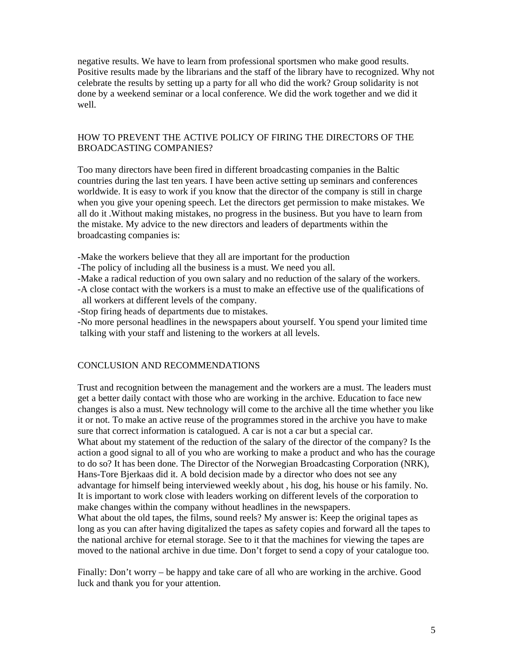negative results. We have to learn from professional sportsmen who make good results. Positive results made by the librarians and the staff of the library have to recognized. Why not celebrate the results by setting up a party for all who did the work? Group solidarity is not done by a weekend seminar or a local conference. We did the work together and we did it well.

## HOW TO PREVENT THE ACTIVE POLICY OF FIRING THE DIRECTORS OF THE BROADCASTING COMPANIES?

Too many directors have been fired in different broadcasting companies in the Baltic countries during the last ten years. I have been active setting up seminars and conferences worldwide. It is easy to work if you know that the director of the company is still in charge when you give your opening speech. Let the directors get permission to make mistakes. We all do it .Without making mistakes, no progress in the business. But you have to learn from the mistake. My advice to the new directors and leaders of departments within the broadcasting companies is:

-Make the workers believe that they all are important for the production

- -The policy of including all the business is a must. We need you all.
- -Make a radical reduction of you own salary and no reduction of the salary of the workers.
- -A close contact with the workers is a must to make an effective use of the qualifications of all workers at different levels of the company.
- -Stop firing heads of departments due to mistakes.

-No more personal headlines in the newspapers about yourself. You spend your limited time talking with your staff and listening to the workers at all levels.

## CONCLUSION AND RECOMMENDATIONS

Trust and recognition between the management and the workers are a must. The leaders must get a better daily contact with those who are working in the archive. Education to face new changes is also a must. New technology will come to the archive all the time whether you like it or not. To make an active reuse of the programmes stored in the archive you have to make sure that correct information is catalogued. A car is not a car but a special car. What about my statement of the reduction of the salary of the director of the company? Is the action a good signal to all of you who are working to make a product and who has the courage to do so? It has been done. The Director of the Norwegian Broadcasting Corporation (NRK), Hans-Tore Bjerkaas did it. A bold decision made by a director who does not see any advantage for himself being interviewed weekly about , his dog, his house or his family. No.

It is important to work close with leaders working on different levels of the corporation to make changes within the company without headlines in the newspapers.

What about the old tapes, the films, sound reels? My answer is: Keep the original tapes as long as you can after having digitalized the tapes as safety copies and forward all the tapes to the national archive for eternal storage. See to it that the machines for viewing the tapes are moved to the national archive in due time. Don't forget to send a copy of your catalogue too.

Finally: Don't worry – be happy and take care of all who are working in the archive. Good luck and thank you for your attention.